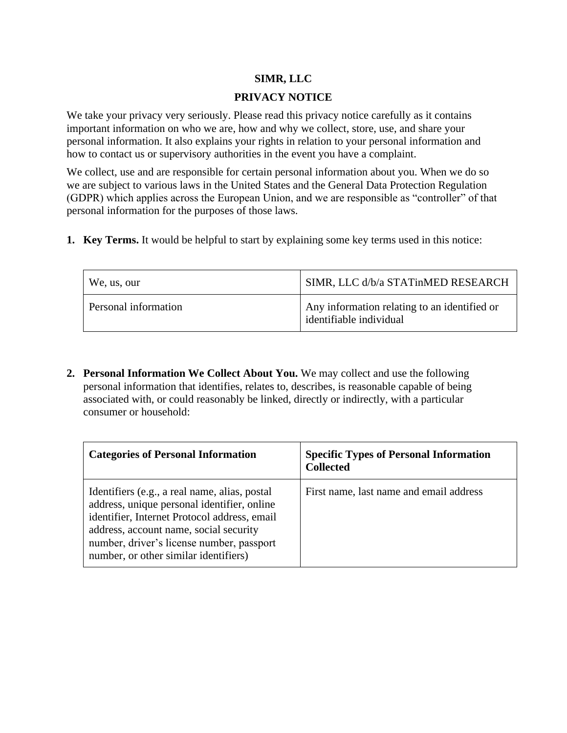## **SIMR, LLC**

### **PRIVACY NOTICE**

We take your privacy very seriously. Please read this privacy notice carefully as it contains important information on who we are, how and why we collect, store, use, and share your personal information. It also explains your rights in relation to your personal information and how to contact us or supervisory authorities in the event you have a complaint.

We collect, use and are responsible for certain personal information about you. When we do so we are subject to various laws in the United States and the General Data Protection Regulation (GDPR) which applies across the European Union, and we are responsible as "controller" of that personal information for the purposes of those laws.

**1. Key Terms.** It would be helpful to start by explaining some key terms used in this notice:

| We, us, our          | SIMR, LLC d/b/a STATinMED RESEARCH                                      |
|----------------------|-------------------------------------------------------------------------|
| Personal information | Any information relating to an identified or<br>identifiable individual |

**2. Personal Information We Collect About You.** We may collect and use the following personal information that identifies, relates to, describes, is reasonable capable of being associated with, or could reasonably be linked, directly or indirectly, with a particular consumer or household:

| <b>Categories of Personal Information</b>                                                                                                                                                                                                                                    | <b>Specific Types of Personal Information</b><br><b>Collected</b> |
|------------------------------------------------------------------------------------------------------------------------------------------------------------------------------------------------------------------------------------------------------------------------------|-------------------------------------------------------------------|
| Identifiers (e.g., a real name, alias, postal<br>address, unique personal identifier, online<br>identifier, Internet Protocol address, email<br>address, account name, social security<br>number, driver's license number, passport<br>number, or other similar identifiers) | First name, last name and email address                           |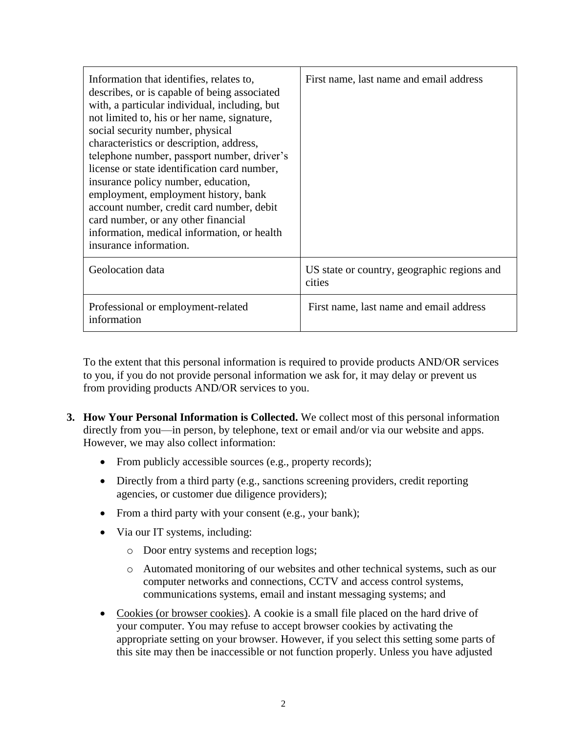| Information that identifies, relates to,<br>describes, or is capable of being associated<br>with, a particular individual, including, but<br>not limited to, his or her name, signature,<br>social security number, physical<br>characteristics or description, address,<br>telephone number, passport number, driver's<br>license or state identification card number,<br>insurance policy number, education,<br>employment, employment history, bank<br>account number, credit card number, debit<br>card number, or any other financial<br>information, medical information, or health<br>insurance information. | First name, last name and email address               |
|---------------------------------------------------------------------------------------------------------------------------------------------------------------------------------------------------------------------------------------------------------------------------------------------------------------------------------------------------------------------------------------------------------------------------------------------------------------------------------------------------------------------------------------------------------------------------------------------------------------------|-------------------------------------------------------|
| Geolocation data                                                                                                                                                                                                                                                                                                                                                                                                                                                                                                                                                                                                    | US state or country, geographic regions and<br>cities |
| Professional or employment-related<br>information                                                                                                                                                                                                                                                                                                                                                                                                                                                                                                                                                                   | First name, last name and email address               |

To the extent that this personal information is required to provide products AND/OR services to you, if you do not provide personal information we ask for, it may delay or prevent us from providing products AND/OR services to you.

- **3. How Your Personal Information is Collected.** We collect most of this personal information directly from you—in person, by telephone, text or email and/or via our website and apps. However, we may also collect information:
	- From publicly accessible sources (e.g., property records);
	- Directly from a third party (e.g., sanctions screening providers, credit reporting agencies, or customer due diligence providers);
	- From a third party with your consent (e.g., your bank);
	- Via our IT systems, including:
		- o Door entry systems and reception logs;
		- o Automated monitoring of our websites and other technical systems, such as our computer networks and connections, CCTV and access control systems, communications systems, email and instant messaging systems; and
	- Cookies (or browser cookies). A cookie is a small file placed on the hard drive of your computer. You may refuse to accept browser cookies by activating the appropriate setting on your browser. However, if you select this setting some parts of this site may then be inaccessible or not function properly. Unless you have adjusted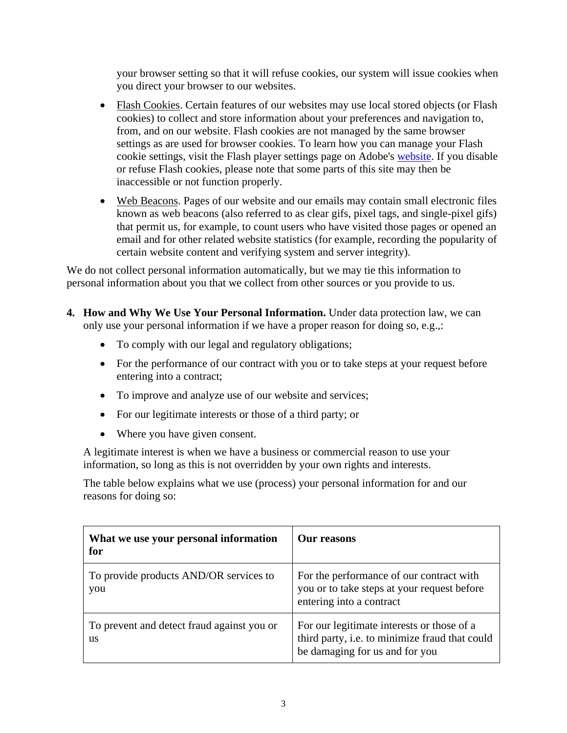your browser setting so that it will refuse cookies, our system will issue cookies when you direct your browser to our websites.

- Flash Cookies. Certain features of our websites may use local stored objects (or Flash cookies) to collect and store information about your preferences and navigation to, from, and on our website. Flash cookies are not managed by the same browser settings as are used for browser cookies. To learn how you can manage your Flash cookie settings, visit the Flash player settings page on Adobe's website. If you disable or refuse Flash cookies, please note that some parts of this site may then be inaccessible or not function properly.
- Web Beacons. Pages of our website and our emails may contain small electronic files known as web beacons (also referred to as clear gifs, pixel tags, and single-pixel gifs) that permit us, for example, to count users who have visited those pages or opened an email and for other related website statistics (for example, recording the popularity of certain website content and verifying system and server integrity).

We do not collect personal information automatically, but we may tie this information to personal information about you that we collect from other sources or you provide to us.

- **4. How and Why We Use Your Personal Information.** Under data protection law, we can only use your personal information if we have a proper reason for doing so, e.g.,:
	- To comply with our legal and regulatory obligations;
	- For the performance of our contract with you or to take steps at your request before entering into a contract;
	- To improve and analyze use of our website and services;
	- For our legitimate interests or those of a third party; or
	- Where you have given consent.

A legitimate interest is when we have a business or commercial reason to use your information, so long as this is not overridden by your own rights and interests.

The table below explains what we use (process) your personal information for and our reasons for doing so:

| What we use your personal information<br>for            | Our reasons                                                                                                                    |
|---------------------------------------------------------|--------------------------------------------------------------------------------------------------------------------------------|
| To provide products AND/OR services to<br>you           | For the performance of our contract with<br>you or to take steps at your request before<br>entering into a contract            |
| To prevent and detect fraud against you or<br><b>us</b> | For our legitimate interests or those of a<br>third party, i.e. to minimize fraud that could<br>be damaging for us and for you |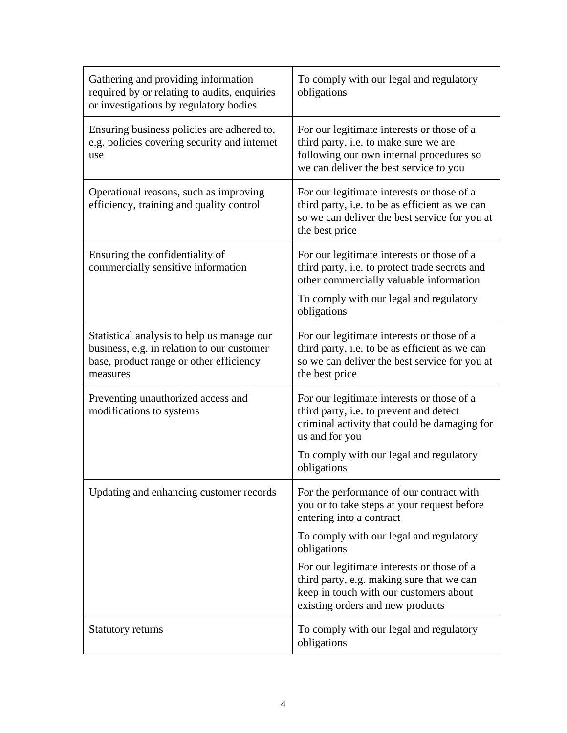| Gathering and providing information<br>required by or relating to audits, enquiries<br>or investigations by regulatory bodies                   | To comply with our legal and regulatory<br>obligations                                                                                                                                                            |
|-------------------------------------------------------------------------------------------------------------------------------------------------|-------------------------------------------------------------------------------------------------------------------------------------------------------------------------------------------------------------------|
| Ensuring business policies are adhered to,<br>e.g. policies covering security and internet<br>use                                               | For our legitimate interests or those of a<br>third party, i.e. to make sure we are<br>following our own internal procedures so<br>we can deliver the best service to you                                         |
| Operational reasons, such as improving<br>efficiency, training and quality control                                                              | For our legitimate interests or those of a<br>third party, i.e. to be as efficient as we can<br>so we can deliver the best service for you at<br>the best price                                                   |
| Ensuring the confidentiality of<br>commercially sensitive information                                                                           | For our legitimate interests or those of a<br>third party, i.e. to protect trade secrets and<br>other commercially valuable information<br>To comply with our legal and regulatory<br>obligations                 |
| Statistical analysis to help us manage our<br>business, e.g. in relation to our customer<br>base, product range or other efficiency<br>measures | For our legitimate interests or those of a<br>third party, i.e. to be as efficient as we can<br>so we can deliver the best service for you at<br>the best price                                                   |
| Preventing unauthorized access and<br>modifications to systems                                                                                  | For our legitimate interests or those of a<br>third party, i.e. to prevent and detect<br>criminal activity that could be damaging for<br>us and for you<br>To comply with our legal and regulatory<br>obligations |
| Updating and enhancing customer records                                                                                                         | For the performance of our contract with<br>you or to take steps at your request before<br>entering into a contract                                                                                               |
|                                                                                                                                                 | To comply with our legal and regulatory<br>obligations                                                                                                                                                            |
|                                                                                                                                                 | For our legitimate interests or those of a<br>third party, e.g. making sure that we can<br>keep in touch with our customers about<br>existing orders and new products                                             |
| Statutory returns                                                                                                                               | To comply with our legal and regulatory<br>obligations                                                                                                                                                            |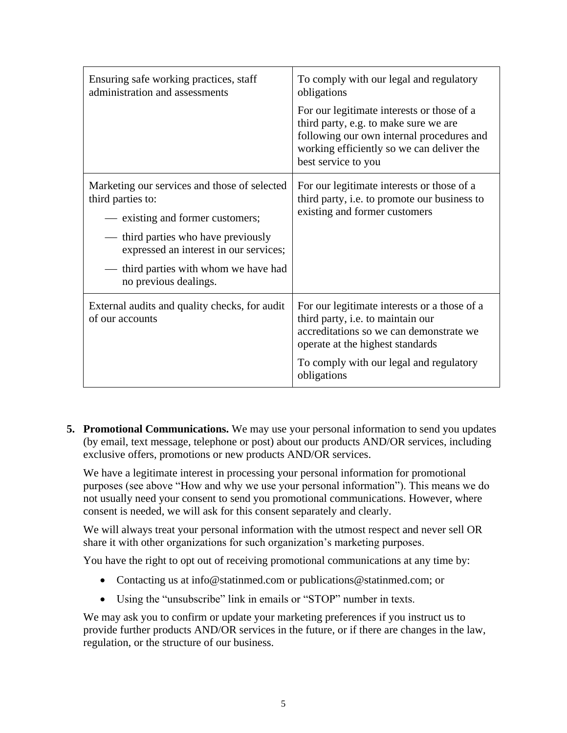| Ensuring safe working practices, staff<br>administration and assessments    | To comply with our legal and regulatory<br>obligations                                                                                                                                               |
|-----------------------------------------------------------------------------|------------------------------------------------------------------------------------------------------------------------------------------------------------------------------------------------------|
|                                                                             | For our legitimate interests or those of a<br>third party, e.g. to make sure we are<br>following our own internal procedures and<br>working efficiently so we can deliver the<br>best service to you |
| Marketing our services and those of selected<br>third parties to:           | For our legitimate interests or those of a<br>third party, i.e. to promote our business to                                                                                                           |
| - existing and former customers;                                            | existing and former customers                                                                                                                                                                        |
| third parties who have previously<br>expressed an interest in our services; |                                                                                                                                                                                                      |
| third parties with whom we have had<br>no previous dealings.                |                                                                                                                                                                                                      |
| External audits and quality checks, for audit<br>of our accounts            | For our legitimate interests or a those of a<br>third party, i.e. to maintain our<br>accreditations so we can demonstrate we<br>operate at the highest standards                                     |
|                                                                             | To comply with our legal and regulatory<br>obligations                                                                                                                                               |

**5. Promotional Communications.** We may use your personal information to send you updates (by email, text message, telephone or post) about our products AND/OR services, including exclusive offers, promotions or new products AND/OR services.

We have a legitimate interest in processing your personal information for promotional purposes (see above "How and why we use your personal information"). This means we do not usually need your consent to send you promotional communications. However, where consent is needed, we will ask for this consent separately and clearly.

We will always treat your personal information with the utmost respect and never sell OR share it with other organizations for such organization's marketing purposes.

You have the right to opt out of receiving promotional communications at any time by:

- Contacting us at info@statinmed.com or publications@statinmed.com; or
- Using the "unsubscribe" link in emails or "STOP" number in texts.

We may ask you to confirm or update your marketing preferences if you instruct us to provide further products AND/OR services in the future, or if there are changes in the law, regulation, or the structure of our business.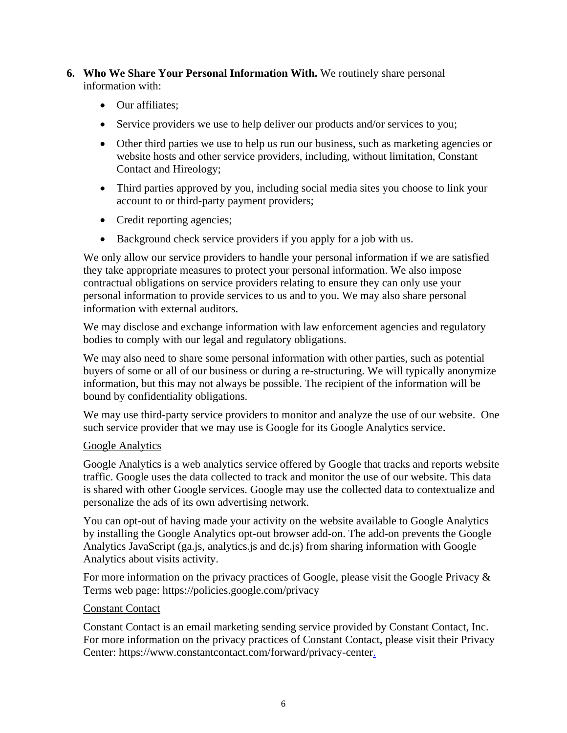- **6. Who We Share Your Personal Information With.** We routinely share personal information with:
	- Our affiliates:
	- Service providers we use to help deliver our products and/or services to you;
	- Other third parties we use to help us run our business, such as marketing agencies or website hosts and other service providers, including, without limitation, Constant Contact and Hireology;
	- Third parties approved by you, including social media sites you choose to link your account to or third-party payment providers;
	- Credit reporting agencies;
	- Background check service providers if you apply for a job with us.

We only allow our service providers to handle your personal information if we are satisfied they take appropriate measures to protect your personal information. We also impose contractual obligations on service providers relating to ensure they can only use your personal information to provide services to us and to you. We may also share personal information with external auditors.

We may disclose and exchange information with law enforcement agencies and regulatory bodies to comply with our legal and regulatory obligations.

We may also need to share some personal information with other parties, such as potential buyers of some or all of our business or during a re-structuring. We will typically anonymize information, but this may not always be possible. The recipient of the information will be bound by confidentiality obligations.

We may use third-party service providers to monitor and analyze the use of our website. One such service provider that we may use is Google for its Google Analytics service.

#### Google Analytics

Google Analytics is a web analytics service offered by Google that tracks and reports website traffic. Google uses the data collected to track and monitor the use of our website. This data is shared with other Google services. Google may use the collected data to contextualize and personalize the ads of its own advertising network.

You can opt-out of having made your activity on the website available to Google Analytics by installing the Google Analytics opt-out browser add-on. The add-on prevents the Google Analytics JavaScript (ga.js, analytics.js and dc.js) from sharing information with Google Analytics about visits activity.

For more information on the privacy practices of Google, please visit the Google Privacy & Terms web page: https://policies.google.com/privacy

#### Constant Contact

Constant Contact is an email marketing sending service provided by Constant Contact, Inc. For more information on the privacy practices of Constant Contact, please visit their Privacy Center: https://www.constantcontact.com/forward/privacy-center.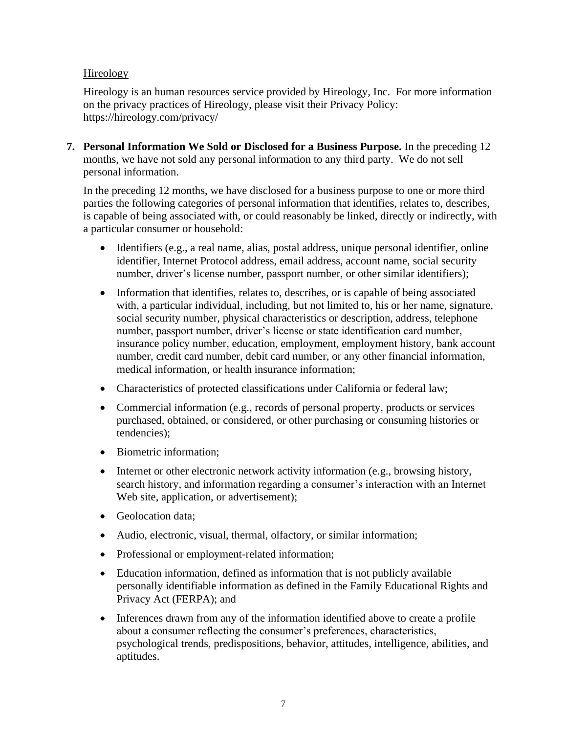## Hireology

Hireology is an human resources service provided by Hireology, Inc. For more information on the privacy practices of Hireology, please visit their Privacy Policy: https://hireology.com/privacy/

**7. Personal Information We Sold or Disclosed for a Business Purpose.** In the preceding 12 months, we have not sold any personal information to any third party. We do not sell personal information.

In the preceding 12 months, we have disclosed for a business purpose to one or more third parties the following categories of personal information that identifies, relates to, describes, is capable of being associated with, or could reasonably be linked, directly or indirectly, with a particular consumer or household:

- Identifiers (e.g., a real name, alias, postal address, unique personal identifier, online identifier, Internet Protocol address, email address, account name, social security number, driver's license number, passport number, or other similar identifiers);
- Information that identifies, relates to, describes, or is capable of being associated with, a particular individual, including, but not limited to, his or her name, signature, social security number, physical characteristics or description, address, telephone number, passport number, driver's license or state identification card number, insurance policy number, education, employment, employment history, bank account number, credit card number, debit card number, or any other financial information, medical information, or health insurance information;
- Characteristics of protected classifications under California or federal law;
- Commercial information (e.g., records of personal property, products or services purchased, obtained, or considered, or other purchasing or consuming histories or tendencies);
- Biometric information;
- Internet or other electronic network activity information (e.g., browsing history, search history, and information regarding a consumer's interaction with an Internet Web site, application, or advertisement);
- Geolocation data;
- Audio, electronic, visual, thermal, olfactory, or similar information;
- Professional or employment-related information;
- Education information, defined as information that is not publicly available personally identifiable information as defined in the Family Educational Rights and Privacy Act (FERPA); and
- Inferences drawn from any of the information identified above to create a profile about a consumer reflecting the consumer's preferences, characteristics, psychological trends, predispositions, behavior, attitudes, intelligence, abilities, and aptitudes.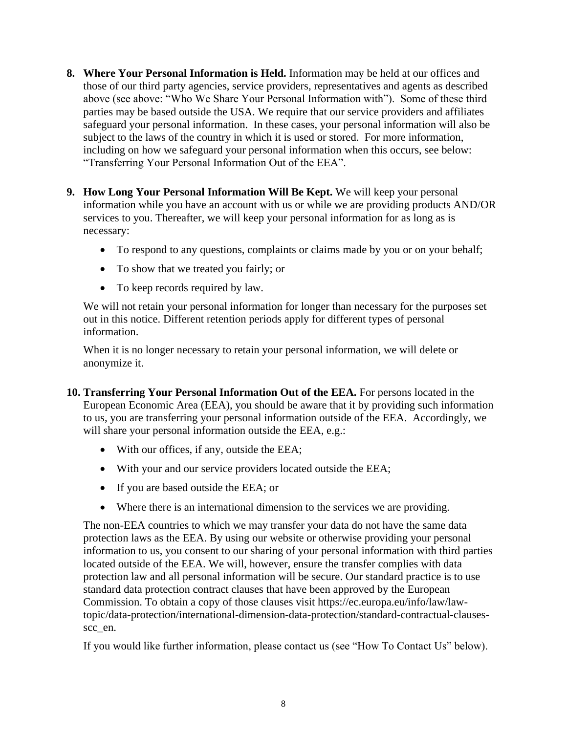- **8. Where Your Personal Information is Held.** Information may be held at our offices and those of our third party agencies, service providers, representatives and agents as described above (see above: "Who We Share Your Personal Information with"). Some of these third parties may be based outside the USA. We require that our service providers and affiliates safeguard your personal information. In these cases, your personal information will also be subject to the laws of the country in which it is used or stored. For more information, including on how we safeguard your personal information when this occurs, see below: "Transferring Your Personal Information Out of the EEA".
- **9. How Long Your Personal Information Will Be Kept.** We will keep your personal information while you have an account with us or while we are providing products AND/OR services to you. Thereafter, we will keep your personal information for as long as is necessary:
	- To respond to any questions, complaints or claims made by you or on your behalf;
	- To show that we treated you fairly; or
	- To keep records required by law.

We will not retain your personal information for longer than necessary for the purposes set out in this notice. Different retention periods apply for different types of personal information.

When it is no longer necessary to retain your personal information, we will delete or anonymize it.

- **10. Transferring Your Personal Information Out of the EEA.** For persons located in the European Economic Area (EEA), you should be aware that it by providing such information to us, you are transferring your personal information outside of the EEA. Accordingly, we will share your personal information outside the EEA, e.g.:
	- With our offices, if any, outside the EEA;
	- With your and our service providers located outside the EEA;
	- If you are based outside the EEA; or
	- Where there is an international dimension to the services we are providing.

The non-EEA countries to which we may transfer your data do not have the same data protection laws as the EEA. By using our website or otherwise providing your personal information to us, you consent to our sharing of your personal information with third parties located outside of the EEA. We will, however, ensure the transfer complies with data protection law and all personal information will be secure. Our standard practice is to use standard data protection contract clauses that have been approved by the European Commission. To obtain a copy of those clauses visit https://ec.europa.eu/info/law/lawtopic/data-protection/international-dimension-data-protection/standard-contractual-clausesscc\_en.

If you would like further information, please contact us (see "How To Contact Us" below).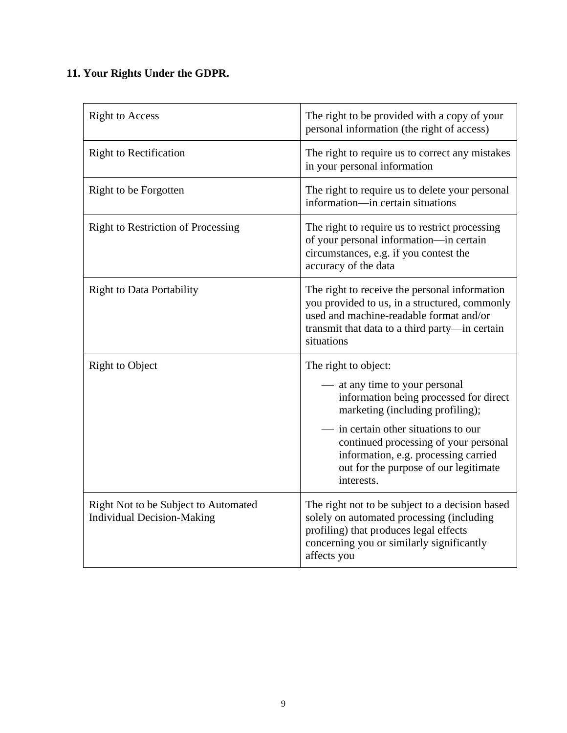# **11. Your Rights Under the GDPR.**

| <b>Right to Access</b>                                                    | The right to be provided with a copy of your<br>personal information (the right of access)                                                                                                                                                                                                                       |
|---------------------------------------------------------------------------|------------------------------------------------------------------------------------------------------------------------------------------------------------------------------------------------------------------------------------------------------------------------------------------------------------------|
| <b>Right to Rectification</b>                                             | The right to require us to correct any mistakes<br>in your personal information                                                                                                                                                                                                                                  |
| Right to be Forgotten                                                     | The right to require us to delete your personal<br>information—in certain situations                                                                                                                                                                                                                             |
| <b>Right to Restriction of Processing</b>                                 | The right to require us to restrict processing<br>of your personal information-in certain<br>circumstances, e.g. if you contest the<br>accuracy of the data                                                                                                                                                      |
| <b>Right to Data Portability</b>                                          | The right to receive the personal information<br>you provided to us, in a structured, commonly<br>used and machine-readable format and/or<br>transmit that data to a third party—in certain<br>situations                                                                                                        |
| <b>Right to Object</b>                                                    | The right to object:<br>at any time to your personal<br>information being processed for direct<br>marketing (including profiling);<br>in certain other situations to our<br>continued processing of your personal<br>information, e.g. processing carried<br>out for the purpose of our legitimate<br>interests. |
| Right Not to be Subject to Automated<br><b>Individual Decision-Making</b> | The right not to be subject to a decision based<br>solely on automated processing (including<br>profiling) that produces legal effects<br>concerning you or similarly significantly<br>affects you                                                                                                               |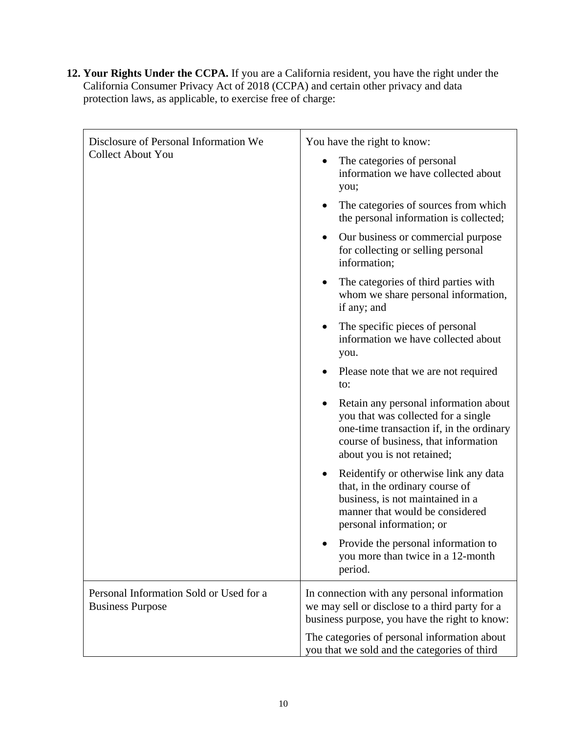**12. Your Rights Under the CCPA.** If you are a California resident, you have the right under the California Consumer Privacy Act of 2018 (CCPA) and certain other privacy and data protection laws, as applicable, to exercise free of charge:

| Disclosure of Personal Information We<br><b>Collect About You</b><br>Personal Information Sold or Used for a<br><b>Business Purpose</b> | You have the right to know:                                                                                                                                                                    |
|-----------------------------------------------------------------------------------------------------------------------------------------|------------------------------------------------------------------------------------------------------------------------------------------------------------------------------------------------|
|                                                                                                                                         | The categories of personal<br>information we have collected about<br>you;                                                                                                                      |
|                                                                                                                                         | The categories of sources from which<br>the personal information is collected;                                                                                                                 |
|                                                                                                                                         | Our business or commercial purpose<br>for collecting or selling personal<br>information;                                                                                                       |
|                                                                                                                                         | The categories of third parties with<br>whom we share personal information,<br>if any; and                                                                                                     |
|                                                                                                                                         | The specific pieces of personal<br>information we have collected about<br>you.                                                                                                                 |
|                                                                                                                                         | Please note that we are not required<br>to:                                                                                                                                                    |
|                                                                                                                                         | Retain any personal information about<br>you that was collected for a single<br>one-time transaction if, in the ordinary<br>course of business, that information<br>about you is not retained; |
|                                                                                                                                         | Reidentify or otherwise link any data<br>that, in the ordinary course of<br>business, is not maintained in a<br>manner that would be considered<br>personal information; or                    |
|                                                                                                                                         | Provide the personal information to<br>you more than twice in a 12-month<br>period.                                                                                                            |
|                                                                                                                                         | In connection with any personal information<br>we may sell or disclose to a third party for a<br>business purpose, you have the right to know:                                                 |
|                                                                                                                                         | The categories of personal information about<br>you that we sold and the categories of third                                                                                                   |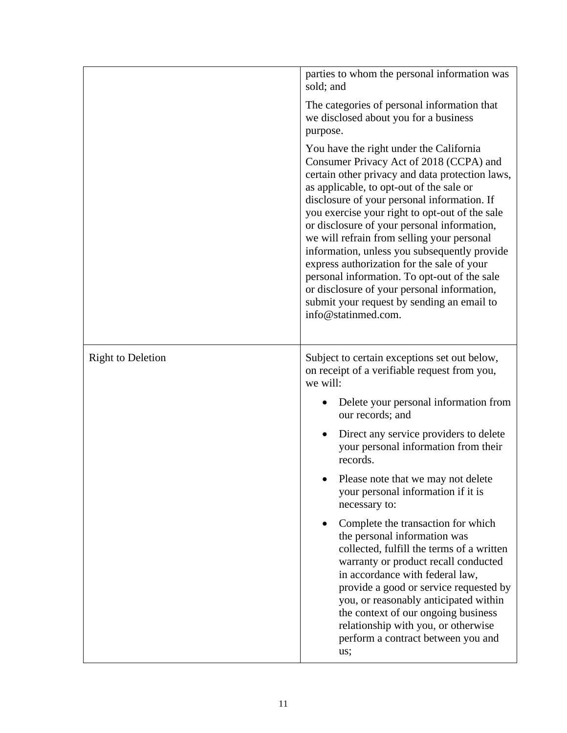|                          | parties to whom the personal information was<br>sold; and<br>The categories of personal information that<br>we disclosed about you for a business<br>purpose.<br>You have the right under the California<br>Consumer Privacy Act of 2018 (CCPA) and<br>certain other privacy and data protection laws,<br>as applicable, to opt-out of the sale or<br>disclosure of your personal information. If<br>you exercise your right to opt-out of the sale<br>or disclosure of your personal information,<br>we will refrain from selling your personal<br>information, unless you subsequently provide<br>express authorization for the sale of your<br>personal information. To opt-out of the sale<br>or disclosure of your personal information,<br>submit your request by sending an email to<br>info@statinmed.com. |
|--------------------------|--------------------------------------------------------------------------------------------------------------------------------------------------------------------------------------------------------------------------------------------------------------------------------------------------------------------------------------------------------------------------------------------------------------------------------------------------------------------------------------------------------------------------------------------------------------------------------------------------------------------------------------------------------------------------------------------------------------------------------------------------------------------------------------------------------------------|
| <b>Right to Deletion</b> | Subject to certain exceptions set out below,<br>on receipt of a verifiable request from you,<br>we will:<br>Delete your personal information from<br>our records; and<br>Direct any service providers to delete<br>$\bullet$<br>your personal information from their<br>records.<br>Please note that we may not delete<br>your personal information if it is<br>necessary to:<br>Complete the transaction for which<br>the personal information was<br>collected, fulfill the terms of a written<br>warranty or product recall conducted<br>in accordance with federal law,<br>provide a good or service requested by<br>you, or reasonably anticipated within<br>the context of our ongoing business<br>relationship with you, or otherwise<br>perform a contract between you and<br>us;                          |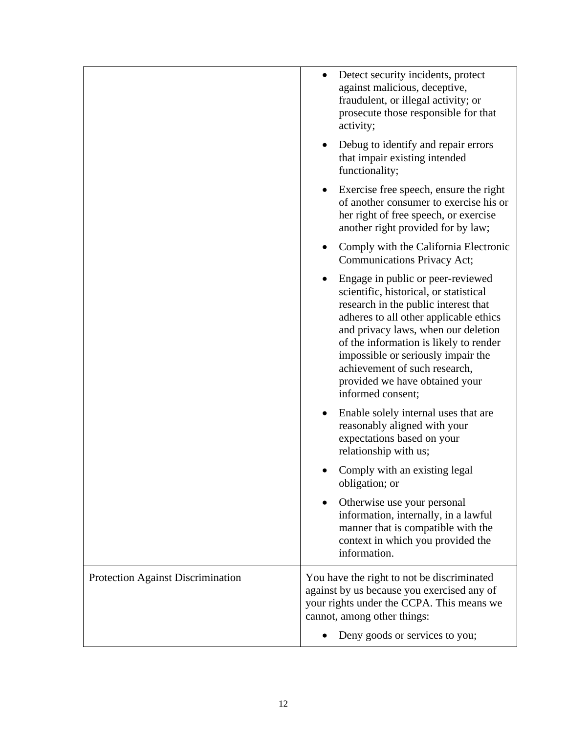|                                          | Detect security incidents, protect<br>against malicious, deceptive,<br>fraudulent, or illegal activity; or<br>prosecute those responsible for that<br>activity;                                                                                                                                                                                                              |
|------------------------------------------|------------------------------------------------------------------------------------------------------------------------------------------------------------------------------------------------------------------------------------------------------------------------------------------------------------------------------------------------------------------------------|
|                                          | Debug to identify and repair errors<br>that impair existing intended<br>functionality;                                                                                                                                                                                                                                                                                       |
|                                          | Exercise free speech, ensure the right<br>of another consumer to exercise his or<br>her right of free speech, or exercise<br>another right provided for by law;                                                                                                                                                                                                              |
|                                          | Comply with the California Electronic<br>Communications Privacy Act;                                                                                                                                                                                                                                                                                                         |
|                                          | Engage in public or peer-reviewed<br>scientific, historical, or statistical<br>research in the public interest that<br>adheres to all other applicable ethics<br>and privacy laws, when our deletion<br>of the information is likely to render<br>impossible or seriously impair the<br>achievement of such research,<br>provided we have obtained your<br>informed consent; |
|                                          | Enable solely internal uses that are<br>reasonably aligned with your<br>expectations based on your<br>relationship with us;                                                                                                                                                                                                                                                  |
|                                          | Comply with an existing legal<br>obligation; or                                                                                                                                                                                                                                                                                                                              |
|                                          | Otherwise use your personal<br>information, internally, in a lawful<br>manner that is compatible with the<br>context in which you provided the<br>information.                                                                                                                                                                                                               |
| <b>Protection Against Discrimination</b> | You have the right to not be discriminated<br>against by us because you exercised any of<br>your rights under the CCPA. This means we<br>cannot, among other things:                                                                                                                                                                                                         |
|                                          | Deny goods or services to you;                                                                                                                                                                                                                                                                                                                                               |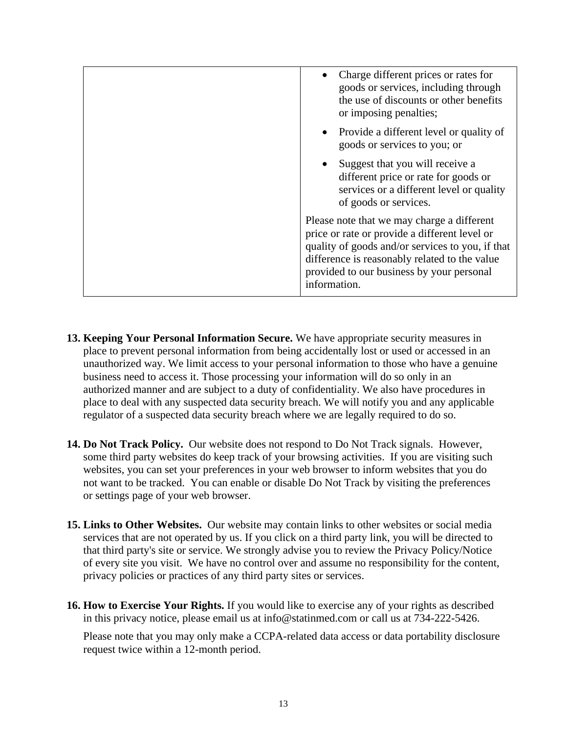| Charge different prices or rates for<br>goods or services, including through<br>the use of discounts or other benefits<br>or imposing penalties;                                                                                                              |
|---------------------------------------------------------------------------------------------------------------------------------------------------------------------------------------------------------------------------------------------------------------|
| • Provide a different level or quality of<br>goods or services to you; or                                                                                                                                                                                     |
| Suggest that you will receive a<br>different price or rate for goods or<br>services or a different level or quality<br>of goods or services.                                                                                                                  |
| Please note that we may charge a different<br>price or rate or provide a different level or<br>quality of goods and/or services to you, if that<br>difference is reasonably related to the value<br>provided to our business by your personal<br>information. |

- **13. Keeping Your Personal Information Secure.** We have appropriate security measures in place to prevent personal information from being accidentally lost or used or accessed in an unauthorized way. We limit access to your personal information to those who have a genuine business need to access it. Those processing your information will do so only in an authorized manner and are subject to a duty of confidentiality. We also have procedures in place to deal with any suspected data security breach. We will notify you and any applicable regulator of a suspected data security breach where we are legally required to do so.
- **14. Do Not Track Policy.** Our website does not respond to Do Not Track signals. However, some third party websites do keep track of your browsing activities. If you are visiting such websites, you can set your preferences in your web browser to inform websites that you do not want to be tracked. You can enable or disable Do Not Track by visiting the preferences or settings page of your web browser.
- **15. Links to Other Websites.** Our website may contain links to other websites or social media services that are not operated by us. If you click on a third party link, you will be directed to that third party's site or service. We strongly advise you to review the Privacy Policy/Notice of every site you visit. We have no control over and assume no responsibility for the content, privacy policies or practices of any third party sites or services.
- **16. How to Exercise Your Rights.** If you would like to exercise any of your rights as described in this privacy notice, please email us at info@statinmed.com or call us at 734-222-5426.

Please note that you may only make a CCPA-related data access or data portability disclosure request twice within a 12-month period.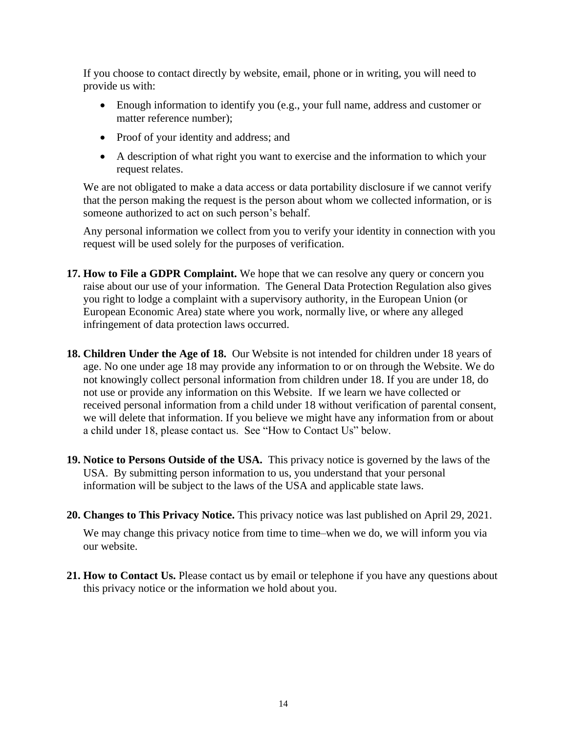If you choose to contact directly by website, email, phone or in writing, you will need to provide us with:

- Enough information to identify you (e.g., your full name, address and customer or matter reference number);
- Proof of your identity and address; and
- A description of what right you want to exercise and the information to which your request relates.

We are not obligated to make a data access or data portability disclosure if we cannot verify that the person making the request is the person about whom we collected information, or is someone authorized to act on such person's behalf.

Any personal information we collect from you to verify your identity in connection with you request will be used solely for the purposes of verification.

- **17. How to File a GDPR Complaint.** We hope that we can resolve any query or concern you raise about our use of your information. The General Data Protection Regulation also gives you right to lodge a complaint with a supervisory authority, in the European Union (or European Economic Area) state where you work, normally live, or where any alleged infringement of data protection laws occurred.
- **18. Children Under the Age of 18.** Our Website is not intended for children under 18 years of age. No one under age 18 may provide any information to or on through the Website. We do not knowingly collect personal information from children under 18. If you are under 18, do not use or provide any information on this Website. If we learn we have collected or received personal information from a child under 18 without verification of parental consent, we will delete that information. If you believe we might have any information from or about a child under 18, please contact us. See "How to Contact Us" below.
- **19. Notice to Persons Outside of the USA.** This privacy notice is governed by the laws of the USA. By submitting person information to us, you understand that your personal information will be subject to the laws of the USA and applicable state laws.
- **20. Changes to This Privacy Notice.** This privacy notice was last published on April 29, 2021.

We may change this privacy notice from time to time–when we do, we will inform you via our website.

**21. How to Contact Us.** Please contact us by email or telephone if you have any questions about this privacy notice or the information we hold about you.